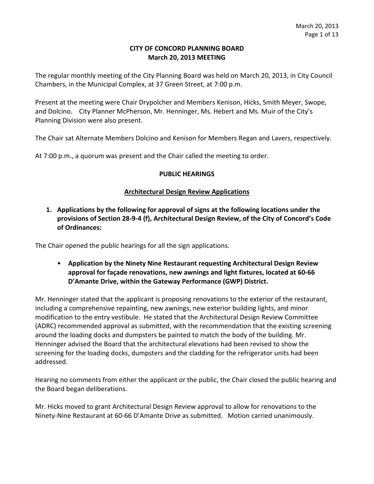#### **CITY OF CONCORD PLANNING BOARD March 20, 2013 MEETING**

The regular monthly meeting of the City Planning Board was held on March 20, 2013, in City Council Chambers, in the Municipal Complex, at 37 Green Street, at 7:00 p.m.

Present at the meeting were Chair Drypolcher and Members Kenison, Hicks, Smith Meyer, Swope, and Dolcino. City Planner McPherson, Mr. Henninger, Ms. Hebert and Ms. Muir of the City's Planning Division were also present.

The Chair sat Alternate Members Dolcino and Kenison for Members Regan and Lavers, respectively.

At 7:00 p.m., a quorum was present and the Chair called the meeting to order.

#### **PUBLIC HEARINGS**

#### **Architectural Design Review Applications**

## **1. Applications by the following for approval of signs at the following locations under the provisions of Section 28-9-4 (f), Architectural Design Review, of the City of Concord's Code of Ordinances:**

The Chair opened the public hearings for all the sign applications.

# • **Application by the Ninety Nine Restaurant requesting Architectural Design Review approval for façade renovations, new awnings and light fixtures, located at 60-66 D'Amante Drive, within the Gateway Performance (GWP) District.**

Mr. Henninger stated that the applicant is proposing renovations to the exterior of the restaurant, including a comprehensive repainting, new awnings, new exterior building lights, and minor modification to the entry vestibule. He stated that the Architectural Design Review Committee (ADRC) recommended approval as submitted, with the recommendation that the existing screening around the loading docks and dumpsters be painted to match the body of the building. Mr. Henninger advised the Board that the architectural elevations had been revised to show the screening for the loading docks, dumpsters and the cladding for the refrigerator units had been addressed.

Hearing no comments from either the applicant or the public, the Chair closed the public hearing and the Board began deliberations.

Mr. Hicks moved to grant Architectural Design Review approval to allow for renovations to the Ninety-Nine Restaurant at 60-66 D'Amante Drive as submitted. Motion carried unanimously.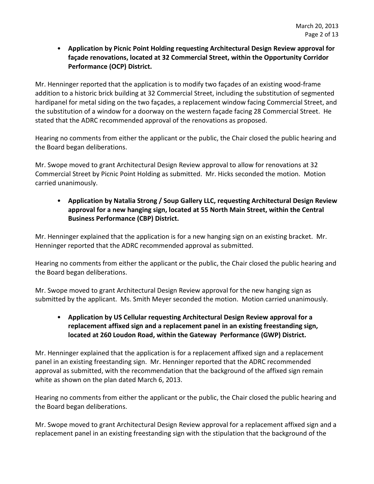• **Application by Picnic Point Holding requesting Architectural Design Review approval for façade renovations, located at 32 Commercial Street, within the Opportunity Corridor Performance (OCP) District.** 

Mr. Henninger reported that the application is to modify two façades of an existing wood-frame addition to a historic brick building at 32 Commercial Street, including the substitution of segmented hardipanel for metal siding on the two façades, a replacement window facing Commercial Street, and the substitution of a window for a doorway on the western façade facing 28 Commercial Street. He stated that the ADRC recommended approval of the renovations as proposed.

Hearing no comments from either the applicant or the public, the Chair closed the public hearing and the Board began deliberations.

Mr. Swope moved to grant Architectural Design Review approval to allow for renovations at 32 Commercial Street by Picnic Point Holding as submitted. Mr. Hicks seconded the motion. Motion carried unanimously.

• **Application by Natalia Strong / Soup Gallery LLC, requesting Architectural Design Review approval for a new hanging sign, located at 55 North Main Street, within the Central Business Performance (CBP) District.** 

Mr. Henninger explained that the application is for a new hanging sign on an existing bracket. Mr. Henninger reported that the ADRC recommended approval as submitted.

Hearing no comments from either the applicant or the public, the Chair closed the public hearing and the Board began deliberations.

Mr. Swope moved to grant Architectural Design Review approval for the new hanging sign as submitted by the applicant. Ms. Smith Meyer seconded the motion. Motion carried unanimously.

# • **Application by US Cellular requesting Architectural Design Review approval for a replacement affixed sign and a replacement panel in an existing freestanding sign, located at 260 Loudon Road, within the Gateway Performance (GWP) District.**

Mr. Henninger explained that the application is for a replacement affixed sign and a replacement panel in an existing freestanding sign. Mr. Henninger reported that the ADRC recommended approval as submitted, with the recommendation that the background of the affixed sign remain white as shown on the plan dated March 6, 2013.

Hearing no comments from either the applicant or the public, the Chair closed the public hearing and the Board began deliberations.

Mr. Swope moved to grant Architectural Design Review approval for a replacement affixed sign and a replacement panel in an existing freestanding sign with the stipulation that the background of the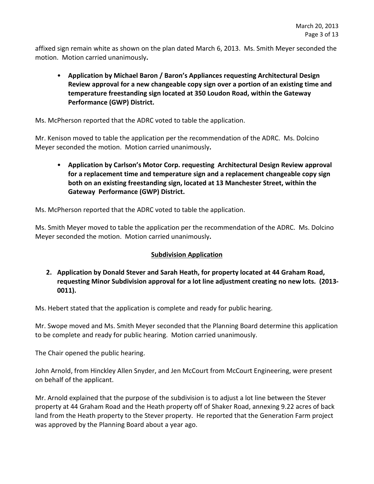affixed sign remain white as shown on the plan dated March 6, 2013. Ms. Smith Meyer seconded the motion. Motion carried unanimously**.** 

• **Application by Michael Baron / Baron's Appliances requesting Architectural Design Review approval for a new changeable copy sign over a portion of an existing time and temperature freestanding sign located at 350 Loudon Road, within the Gateway Performance (GWP) District.** 

Ms. McPherson reported that the ADRC voted to table the application.

Mr. Kenison moved to table the application per the recommendation of the ADRC. Ms. Dolcino Meyer seconded the motion. Motion carried unanimously**.** 

• **Application by Carlson's Motor Corp. requesting Architectural Design Review approval for a replacement time and temperature sign and a replacement changeable copy sign both on an existing freestanding sign, located at 13 Manchester Street, within the Gateway Performance (GWP) District.** 

Ms. McPherson reported that the ADRC voted to table the application.

Ms. Smith Meyer moved to table the application per the recommendation of the ADRC. Ms. Dolcino Meyer seconded the motion. Motion carried unanimously**.** 

## **Subdivision Application**

**2. Application by Donald Stever and Sarah Heath, for property located at 44 Graham Road, requesting Minor Subdivision approval for a lot line adjustment creating no new lots. (2013- 0011).** 

Ms. Hebert stated that the application is complete and ready for public hearing.

Mr. Swope moved and Ms. Smith Meyer seconded that the Planning Board determine this application to be complete and ready for public hearing. Motion carried unanimously.

The Chair opened the public hearing.

John Arnold, from Hinckley Allen Snyder, and Jen McCourt from McCourt Engineering, were present on behalf of the applicant.

Mr. Arnold explained that the purpose of the subdivision is to adjust a lot line between the Stever property at 44 Graham Road and the Heath property off of Shaker Road, annexing 9.22 acres of back land from the Heath property to the Stever property. He reported that the Generation Farm project was approved by the Planning Board about a year ago.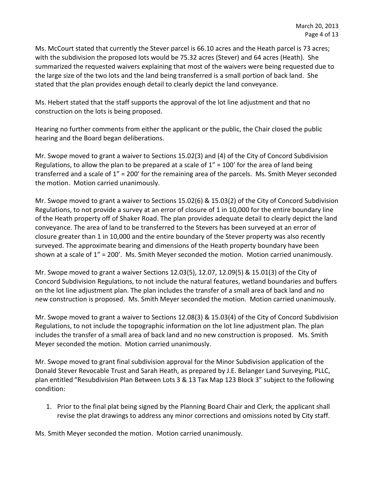Ms. McCourt stated that currently the Stever parcel is 66.10 acres and the Heath parcel is 73 acres; with the subdivision the proposed lots would be 75.32 acres (Stever) and 64 acres (Heath). She summarized the requested waivers explaining that most of the waivers were being requested due to the large size of the two lots and the land being transferred is a small portion of back land. She stated that the plan provides enough detail to clearly depict the land conveyance.

Ms. Hebert stated that the staff supports the approval of the lot line adjustment and that no construction on the lots is being proposed.

Hearing no further comments from either the applicant or the public, the Chair closed the public hearing and the Board began deliberations.

Mr. Swope moved to grant a waiver to Sections 15.02(3) and (4) of the City of Concord Subdivision Regulations, to allow the plan to be prepared at a scale of  $1'' = 100'$  for the area of land being transferred and a scale of 1" = 200' for the remaining area of the parcels. Ms. Smith Meyer seconded the motion. Motion carried unanimously.

Mr. Swope moved to grant a waiver to Sections 15.02(6) & 15.03(2) of the City of Concord Subdivision Regulations, to not provide a survey at an error of closure of 1 in 10,000 for the entire boundary line of the Heath property off of Shaker Road. The plan provides adequate detail to clearly depict the land conveyance. The area of land to be transferred to the Stevers has been surveyed at an error of closure greater than 1 in 10,000 and the entire boundary of the Stever property was also recently surveyed. The approximate bearing and dimensions of the Heath property boundary have been shown at a scale of 1" = 200'. Ms. Smith Meyer seconded the motion. Motion carried unanimously.

Mr. Swope moved to grant a waiver Sections 12.03(5), 12.07, 12.09(5) & 15.01(3) of the City of Concord Subdivision Regulations, to not include the natural features, wetland boundaries and buffers on the lot line adjustment plan. The plan includes the transfer of a small area of back land and no new construction is proposed. Ms. Smith Meyer seconded the motion. Motion carried unanimously.

Mr. Swope moved to grant a waiver to Sections 12.08(3) & 15.03(4) of the City of Concord Subdivision Regulations, to not include the topographic information on the lot line adjustment plan. The plan includes the transfer of a small area of back land and no new construction is proposed. Ms. Smith Meyer seconded the motion. Motion carried unanimously.

Mr. Swope moved to grant final subdivision approval for the Minor Subdivision application of the Donald Stever Revocable Trust and Sarah Heath, as prepared by J.E. Belanger Land Surveying, PLLC, plan entitled "Resubdivision Plan Between Lots 3 & 13 Tax Map 123 Block 3" subject to the following condition:

1. Prior to the final plat being signed by the Planning Board Chair and Clerk, the applicant shall revise the plat drawings to address any minor corrections and omissions noted by City staff.

Ms. Smith Meyer seconded the motion. Motion carried unanimously.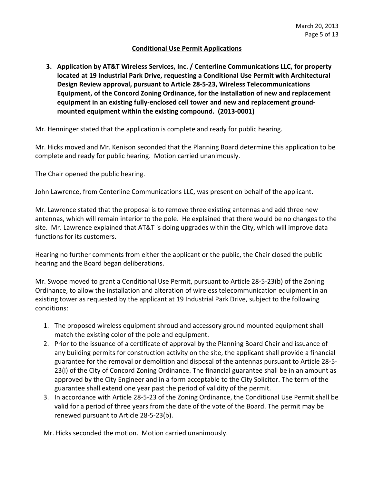#### **Conditional Use Permit Applications**

**3. Application by AT&T Wireless Services, Inc. / Centerline Communications LLC, for property located at 19 Industrial Park Drive, requesting a Conditional Use Permit with Architectural Design Review approval, pursuant to Article 28-5-23, Wireless Telecommunications Equipment, of the Concord Zoning Ordinance, for the installation of new and replacement equipment in an existing fully-enclosed cell tower and new and replacement groundmounted equipment within the existing compound. (2013-0001)**

Mr. Henninger stated that the application is complete and ready for public hearing.

Mr. Hicks moved and Mr. Kenison seconded that the Planning Board determine this application to be complete and ready for public hearing. Motion carried unanimously.

The Chair opened the public hearing.

John Lawrence, from Centerline Communications LLC, was present on behalf of the applicant.

Mr. Lawrence stated that the proposal is to remove three existing antennas and add three new antennas, which will remain interior to the pole. He explained that there would be no changes to the site. Mr. Lawrence explained that AT&T is doing upgrades within the City, which will improve data functions for its customers.

Hearing no further comments from either the applicant or the public, the Chair closed the public hearing and the Board began deliberations.

Mr. Swope moved to grant a Conditional Use Permit, pursuant to Article 28-5-23(b) of the Zoning Ordinance, to allow the installation and alteration of wireless telecommunication equipment in an existing tower as requested by the applicant at 19 Industrial Park Drive, subject to the following conditions:

- 1. The proposed wireless equipment shroud and accessory ground mounted equipment shall match the existing color of the pole and equipment.
- 2. Prior to the issuance of a certificate of approval by the Planning Board Chair and issuance of any building permits for construction activity on the site, the applicant shall provide a financial guarantee for the removal or demolition and disposal of the antennas pursuant to Article 28-5- 23(i) of the City of Concord Zoning Ordinance. The financial guarantee shall be in an amount as approved by the City Engineer and in a form acceptable to the City Solicitor. The term of the guarantee shall extend one year past the period of validity of the permit.
- 3. In accordance with Article 28-5-23 of the Zoning Ordinance, the Conditional Use Permit shall be valid for a period of three years from the date of the vote of the Board. The permit may be renewed pursuant to Article 28-5-23(b).

Mr. Hicks seconded the motion. Motion carried unanimously.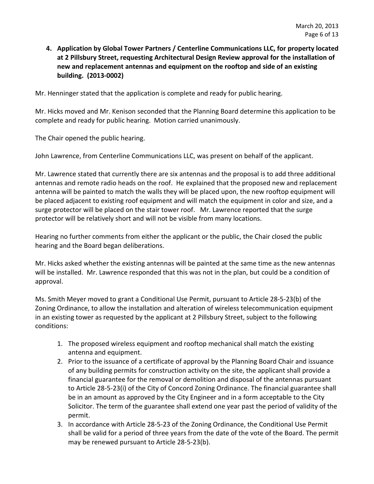**4. Application by Global Tower Partners / Centerline Communications LLC, for property located at 2 Pillsbury Street, requesting Architectural Design Review approval for the installation of new and replacement antennas and equipment on the rooftop and side of an existing building. (2013-0002)**

Mr. Henninger stated that the application is complete and ready for public hearing.

Mr. Hicks moved and Mr. Kenison seconded that the Planning Board determine this application to be complete and ready for public hearing. Motion carried unanimously.

The Chair opened the public hearing.

John Lawrence, from Centerline Communications LLC, was present on behalf of the applicant.

Mr. Lawrence stated that currently there are six antennas and the proposal is to add three additional antennas and remote radio heads on the roof. He explained that the proposed new and replacement antenna will be painted to match the walls they will be placed upon, the new rooftop equipment will be placed adjacent to existing roof equipment and will match the equipment in color and size, and a surge protector will be placed on the stair tower roof. Mr. Lawrence reported that the surge protector will be relatively short and will not be visible from many locations.

Hearing no further comments from either the applicant or the public, the Chair closed the public hearing and the Board began deliberations.

Mr. Hicks asked whether the existing antennas will be painted at the same time as the new antennas will be installed. Mr. Lawrence responded that this was not in the plan, but could be a condition of approval.

Ms. Smith Meyer moved to grant a Conditional Use Permit, pursuant to Article 28-5-23(b) of the Zoning Ordinance, to allow the installation and alteration of wireless telecommunication equipment in an existing tower as requested by the applicant at 2 Pillsbury Street, subject to the following conditions:

- 1. The proposed wireless equipment and rooftop mechanical shall match the existing antenna and equipment.
- 2. Prior to the issuance of a certificate of approval by the Planning Board Chair and issuance of any building permits for construction activity on the site, the applicant shall provide a financial guarantee for the removal or demolition and disposal of the antennas pursuant to Article 28-5-23(i) of the City of Concord Zoning Ordinance. The financial guarantee shall be in an amount as approved by the City Engineer and in a form acceptable to the City Solicitor. The term of the guarantee shall extend one year past the period of validity of the permit.
- 3. In accordance with Article 28-5-23 of the Zoning Ordinance, the Conditional Use Permit shall be valid for a period of three years from the date of the vote of the Board. The permit may be renewed pursuant to Article 28-5-23(b).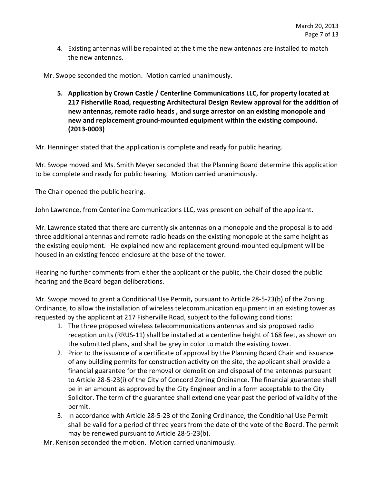4. Existing antennas will be repainted at the time the new antennas are installed to match the new antennas.

Mr. Swope seconded the motion. Motion carried unanimously.

**5. Application by Crown Castle / Centerline Communications LLC, for property located at 217 Fisherville Road, requesting Architectural Design Review approval for the addition of new antennas, remote radio heads , and surge arrestor on an existing monopole and new and replacement ground-mounted equipment within the existing compound. (2013-0003)**

Mr. Henninger stated that the application is complete and ready for public hearing.

Mr. Swope moved and Ms. Smith Meyer seconded that the Planning Board determine this application to be complete and ready for public hearing. Motion carried unanimously.

The Chair opened the public hearing.

John Lawrence, from Centerline Communications LLC, was present on behalf of the applicant.

Mr. Lawrence stated that there are currently six antennas on a monopole and the proposal is to add three additional antennas and remote radio heads on the existing monopole at the same height as the existing equipment. He explained new and replacement ground-mounted equipment will be housed in an existing fenced enclosure at the base of the tower.

Hearing no further comments from either the applicant or the public, the Chair closed the public hearing and the Board began deliberations.

Mr. Swope moved to grant a Conditional Use Permit**,** pursuant to Article 28-5-23(b) of the Zoning Ordinance, to allow the installation of wireless telecommunication equipment in an existing tower as requested by the applicant at 217 Fisherville Road, subject to the following conditions:

- 1. The three proposed wireless telecommunications antennas and six proposed radio reception units (RRUS-11) shall be installed at a centerline height of 168 feet, as shown on the submitted plans, and shall be grey in color to match the existing tower.
- 2. Prior to the issuance of a certificate of approval by the Planning Board Chair and issuance of any building permits for construction activity on the site, the applicant shall provide a financial guarantee for the removal or demolition and disposal of the antennas pursuant to Article 28-5-23(i) of the City of Concord Zoning Ordinance. The financial guarantee shall be in an amount as approved by the City Engineer and in a form acceptable to the City Solicitor. The term of the guarantee shall extend one year past the period of validity of the permit.
- 3. In accordance with Article 28-5-23 of the Zoning Ordinance, the Conditional Use Permit shall be valid for a period of three years from the date of the vote of the Board. The permit may be renewed pursuant to Article 28-5-23(b).

Mr. Kenison seconded the motion. Motion carried unanimously.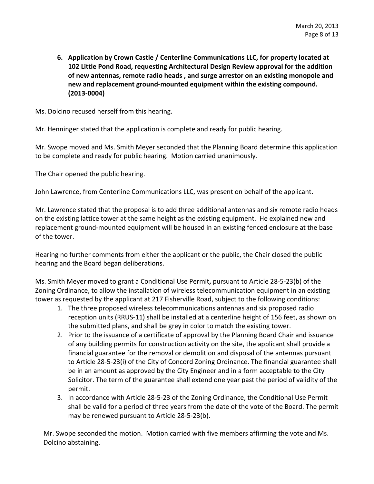**6. Application by Crown Castle / Centerline Communications LLC, for property located at 102 Little Pond Road, requesting Architectural Design Review approval for the addition of new antennas, remote radio heads , and surge arrestor on an existing monopole and new and replacement ground-mounted equipment within the existing compound. (2013-0004)**

Ms. Dolcino recused herself from this hearing.

Mr. Henninger stated that the application is complete and ready for public hearing.

Mr. Swope moved and Ms. Smith Meyer seconded that the Planning Board determine this application to be complete and ready for public hearing. Motion carried unanimously.

The Chair opened the public hearing.

John Lawrence, from Centerline Communications LLC, was present on behalf of the applicant.

Mr. Lawrence stated that the proposal is to add three additional antennas and six remote radio heads on the existing lattice tower at the same height as the existing equipment. He explained new and replacement ground-mounted equipment will be housed in an existing fenced enclosure at the base of the tower.

Hearing no further comments from either the applicant or the public, the Chair closed the public hearing and the Board began deliberations.

Ms. Smith Meyer moved to grant a Conditional Use Permit**,** pursuant to Article 28-5-23(b) of the Zoning Ordinance, to allow the installation of wireless telecommunication equipment in an existing tower as requested by the applicant at 217 Fisherville Road, subject to the following conditions:

- 1. The three proposed wireless telecommunications antennas and six proposed radio reception units (RRUS-11) shall be installed at a centerline height of 156 feet, as shown on the submitted plans, and shall be grey in color to match the existing tower.
- 2. Prior to the issuance of a certificate of approval by the Planning Board Chair and issuance of any building permits for construction activity on the site, the applicant shall provide a financial guarantee for the removal or demolition and disposal of the antennas pursuant to Article 28-5-23(i) of the City of Concord Zoning Ordinance. The financial guarantee shall be in an amount as approved by the City Engineer and in a form acceptable to the City Solicitor. The term of the guarantee shall extend one year past the period of validity of the permit.
- 3. In accordance with Article 28-5-23 of the Zoning Ordinance, the Conditional Use Permit shall be valid for a period of three years from the date of the vote of the Board. The permit may be renewed pursuant to Article 28-5-23(b).

Mr. Swope seconded the motion. Motion carried with five members affirming the vote and Ms. Dolcino abstaining.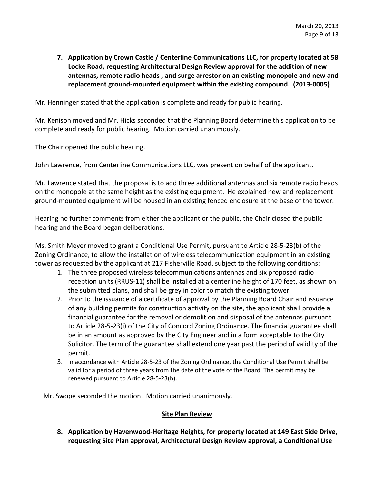**7. Application by Crown Castle / Centerline Communications LLC, for property located at 58 Locke Road, requesting Architectural Design Review approval for the addition of new antennas, remote radio heads , and surge arrestor on an existing monopole and new and replacement ground-mounted equipment within the existing compound. (2013-0005)**

Mr. Henninger stated that the application is complete and ready for public hearing.

Mr. Kenison moved and Mr. Hicks seconded that the Planning Board determine this application to be complete and ready for public hearing. Motion carried unanimously.

The Chair opened the public hearing.

John Lawrence, from Centerline Communications LLC, was present on behalf of the applicant.

Mr. Lawrence stated that the proposal is to add three additional antennas and six remote radio heads on the monopole at the same height as the existing equipment. He explained new and replacement ground-mounted equipment will be housed in an existing fenced enclosure at the base of the tower.

Hearing no further comments from either the applicant or the public, the Chair closed the public hearing and the Board began deliberations.

Ms. Smith Meyer moved to grant a Conditional Use Permit**,** pursuant to Article 28-5-23(b) of the Zoning Ordinance, to allow the installation of wireless telecommunication equipment in an existing tower as requested by the applicant at 217 Fisherville Road, subject to the following conditions:

- 1. The three proposed wireless telecommunications antennas and six proposed radio reception units (RRUS-11) shall be installed at a centerline height of 170 feet, as shown on the submitted plans, and shall be grey in color to match the existing tower.
- 2. Prior to the issuance of a certificate of approval by the Planning Board Chair and issuance of any building permits for construction activity on the site, the applicant shall provide a financial guarantee for the removal or demolition and disposal of the antennas pursuant to Article 28-5-23(i) of the City of Concord Zoning Ordinance. The financial guarantee shall be in an amount as approved by the City Engineer and in a form acceptable to the City Solicitor. The term of the guarantee shall extend one year past the period of validity of the permit.
- 3. In accordance with Article 28-5-23 of the Zoning Ordinance, the Conditional Use Permit shall be valid for a period of three years from the date of the vote of the Board. The permit may be renewed pursuant to Article 28-5-23(b).

Mr. Swope seconded the motion. Motion carried unanimously.

#### **Site Plan Review**

**8. Application by Havenwood-Heritage Heights, for property located at 149 East Side Drive, requesting Site Plan approval, Architectural Design Review approval, a Conditional Use**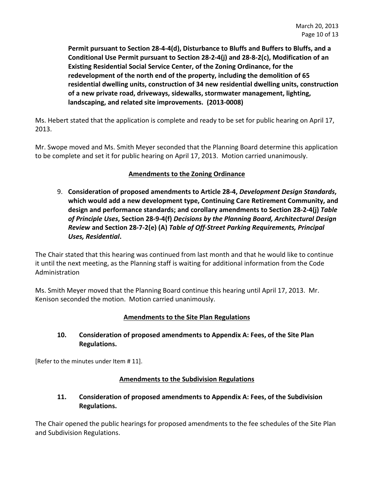**Permit pursuant to Section 28-4-4(d), Disturbance to Bluffs and Buffers to Bluffs, and a Conditional Use Permit pursuant to Section 28-2-4(j) and 28-8-2(c), Modification of an Existing Residential Social Service Center, of the Zoning Ordinance, for the redevelopment of the north end of the property, including the demolition of 65 residential dwelling units, construction of 34 new residential dwelling units, construction of a new private road, driveways, sidewalks, stormwater management, lighting, landscaping, and related site improvements. (2013-0008)** 

Ms. Hebert stated that the application is complete and ready to be set for public hearing on April 17, 2013.

Mr. Swope moved and Ms. Smith Meyer seconded that the Planning Board determine this application to be complete and set it for public hearing on April 17, 2013. Motion carried unanimously.

# **Amendments to the Zoning Ordinance**

9. **Consideration of proposed amendments to Article 28-4,** *Development Design Standards***, which would add a new development type, Continuing Care Retirement Community, and design and performance standards; and corollary amendments to Section 28-2-4(j)** *Table of Principle Uses***, Section 28-9-4(f)** *Decisions by the Planning Board, Architectural Design Review* **and Section 28-7-2(e) (A)** *Table of Off-Street Parking Requirements, Principal Uses, Residential***.** 

The Chair stated that this hearing was continued from last month and that he would like to continue it until the next meeting, as the Planning staff is waiting for additional information from the Code Administration

Ms. Smith Meyer moved that the Planning Board continue this hearing until April 17, 2013. Mr. Kenison seconded the motion. Motion carried unanimously.

# **Amendments to the Site Plan Regulations**

# **10. Consideration of proposed amendments to Appendix A: Fees, of the Site Plan Regulations.**

[Refer to the minutes under Item # 11].

## **Amendments to the Subdivision Regulations**

# **11. Consideration of proposed amendments to Appendix A: Fees, of the Subdivision Regulations.**

The Chair opened the public hearings for proposed amendments to the fee schedules of the Site Plan and Subdivision Regulations.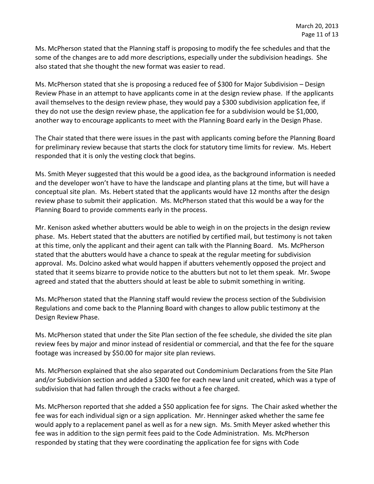Ms. McPherson stated that the Planning staff is proposing to modify the fee schedules and that the some of the changes are to add more descriptions, especially under the subdivision headings. She also stated that she thought the new format was easier to read.

Ms. McPherson stated that she is proposing a reduced fee of \$300 for Major Subdivision – Design Review Phase in an attempt to have applicants come in at the design review phase. If the applicants avail themselves to the design review phase, they would pay a \$300 subdivision application fee, if they do not use the design review phase, the application fee for a subdivision would be \$1,000, another way to encourage applicants to meet with the Planning Board early in the Design Phase.

The Chair stated that there were issues in the past with applicants coming before the Planning Board for preliminary review because that starts the clock for statutory time limits for review. Ms. Hebert responded that it is only the vesting clock that begins.

Ms. Smith Meyer suggested that this would be a good idea, as the background information is needed and the developer won't have to have the landscape and planting plans at the time, but will have a conceptual site plan. Ms. Hebert stated that the applicants would have 12 months after the design review phase to submit their application. Ms. McPherson stated that this would be a way for the Planning Board to provide comments early in the process.

Mr. Kenison asked whether abutters would be able to weigh in on the projects in the design review phase. Ms. Hebert stated that the abutters are notified by certified mail, but testimony is not taken at this time, only the applicant and their agent can talk with the Planning Board. Ms. McPherson stated that the abutters would have a chance to speak at the regular meeting for subdivision approval. Ms. Dolcino asked what would happen if abutters vehemently opposed the project and stated that it seems bizarre to provide notice to the abutters but not to let them speak. Mr. Swope agreed and stated that the abutters should at least be able to submit something in writing.

Ms. McPherson stated that the Planning staff would review the process section of the Subdivision Regulations and come back to the Planning Board with changes to allow public testimony at the Design Review Phase.

Ms. McPherson stated that under the Site Plan section of the fee schedule, she divided the site plan review fees by major and minor instead of residential or commercial, and that the fee for the square footage was increased by \$50.00 for major site plan reviews.

Ms. McPherson explained that she also separated out Condominium Declarations from the Site Plan and/or Subdivision section and added a \$300 fee for each new land unit created, which was a type of subdivision that had fallen through the cracks without a fee charged.

Ms. McPherson reported that she added a \$50 application fee for signs. The Chair asked whether the fee was for each individual sign or a sign application. Mr. Henninger asked whether the same fee would apply to a replacement panel as well as for a new sign. Ms. Smith Meyer asked whether this fee was in addition to the sign permit fees paid to the Code Administration. Ms. McPherson responded by stating that they were coordinating the application fee for signs with Code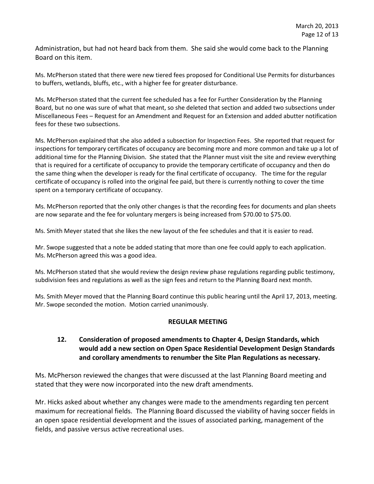Administration, but had not heard back from them. She said she would come back to the Planning Board on this item.

Ms. McPherson stated that there were new tiered fees proposed for Conditional Use Permits for disturbances to buffers, wetlands, bluffs, etc., with a higher fee for greater disturbance.

Ms. McPherson stated that the current fee scheduled has a fee for Further Consideration by the Planning Board, but no one was sure of what that meant, so she deleted that section and added two subsections under Miscellaneous Fees – Request for an Amendment and Request for an Extension and added abutter notification fees for these two subsections.

Ms. McPherson explained that she also added a subsection for Inspection Fees. She reported that request for inspections for temporary certificates of occupancy are becoming more and more common and take up a lot of additional time for the Planning Division. She stated that the Planner must visit the site and review everything that is required for a certificate of occupancy to provide the temporary certificate of occupancy and then do the same thing when the developer is ready for the final certificate of occupancy. The time for the regular certificate of occupancy is rolled into the original fee paid, but there is currently nothing to cover the time spent on a temporary certificate of occupancy.

Ms. McPherson reported that the only other changes is that the recording fees for documents and plan sheets are now separate and the fee for voluntary mergers is being increased from \$70.00 to \$75.00.

Ms. Smith Meyer stated that she likes the new layout of the fee schedules and that it is easier to read.

Mr. Swope suggested that a note be added stating that more than one fee could apply to each application. Ms. McPherson agreed this was a good idea.

Ms. McPherson stated that she would review the design review phase regulations regarding public testimony, subdivision fees and regulations as well as the sign fees and return to the Planning Board next month.

Ms. Smith Meyer moved that the Planning Board continue this public hearing until the April 17, 2013, meeting. Mr. Swope seconded the motion. Motion carried unanimously.

#### **REGULAR MEETING**

## **12. Consideration of proposed amendments to Chapter 4, Design Standards, which would add a new section on Open Space Residential Development Design Standards and corollary amendments to renumber the Site Plan Regulations as necessary.**

Ms. McPherson reviewed the changes that were discussed at the last Planning Board meeting and stated that they were now incorporated into the new draft amendments.

Mr. Hicks asked about whether any changes were made to the amendments regarding ten percent maximum for recreational fields. The Planning Board discussed the viability of having soccer fields in an open space residential development and the issues of associated parking, management of the fields, and passive versus active recreational uses.